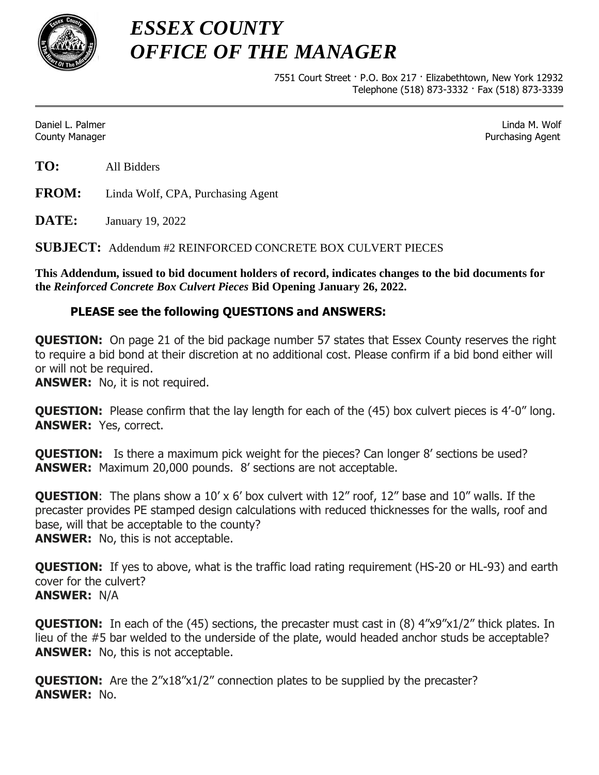

*ESSEX COUNTY OFFICE OF THE MANAGER*

> 7551 Court Street · P.O. Box 217 · Elizabethtown, New York 12932 Telephone (518) 873-3332 · Fax (518) 873-3339

Daniel L. Palmer Linda M. Wolf County Manager Purchasing Agent

**TO:** All Bidders

**FROM:** Linda Wolf, CPA, Purchasing Agent

**DATE:** January 19, 2022

**SUBJECT:** Addendum #2 REINFORCED CONCRETE BOX CULVERT PIECES

**This Addendum, issued to bid document holders of record, indicates changes to the bid documents for the** *Reinforced Concrete Box Culvert Pieces* **Bid Opening January 26, 2022.**

## **PLEASE see the following QUESTIONS and ANSWERS:**

**QUESTION:** On page 21 of the bid package number 57 states that Essex County reserves the right to require a bid bond at their discretion at no additional cost. Please confirm if a bid bond either will or will not be required.

**ANSWER:** No, it is not required.

**QUESTION:** Please confirm that the lay length for each of the (45) box culvert pieces is 4'-0" long. **ANSWER:** Yes, correct.

**QUESTION:** Is there a maximum pick weight for the pieces? Can longer 8' sections be used? **ANSWER:** Maximum 20,000 pounds. 8' sections are not acceptable.

**QUESTION**: The plans show a 10' x 6' box culvert with 12" roof, 12" base and 10" walls. If the precaster provides PE stamped design calculations with reduced thicknesses for the walls, roof and base, will that be acceptable to the county?

**ANSWER:** No, this is not acceptable.

**QUESTION:** If yes to above, what is the traffic load rating requirement (HS-20 or HL-93) and earth cover for the culvert? **ANSWER:** N/A

**QUESTION:** In each of the (45) sections, the precaster must cast in (8)  $4''x9''x1/2''$  thick plates. In lieu of the #5 bar welded to the underside of the plate, would headed anchor studs be acceptable? **ANSWER:** No, this is not acceptable.

**QUESTION:** Are the 2"x18"x1/2" connection plates to be supplied by the precaster? **ANSWER:** No.